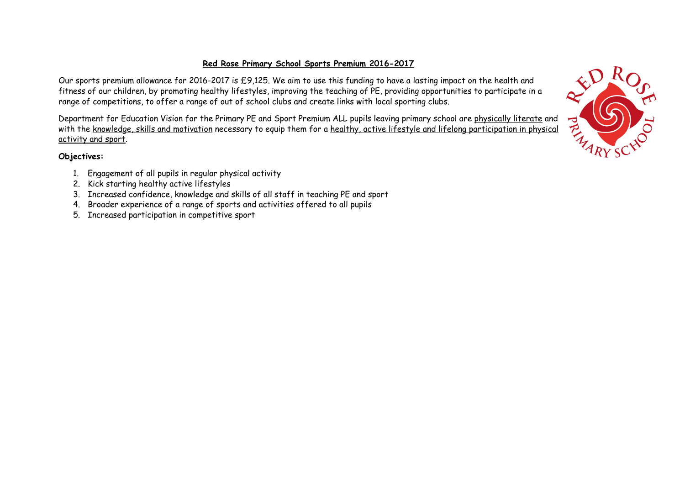## **Red Rose Primary School Sports Premium 2016-2017**

Our sports premium allowance for 2016-2017 is £9,125. We aim to use this funding to have a lasting impact on the health and fitness of our children, by promoting healthy lifestyles, improving the teaching of PE, providing opportunities to participate in a range of competitions, to offer a range of out of school clubs and create links with local sporting clubs.

Department for Education Vision for the Primary PE and Sport Premium ALL pupils leaving primary school are physically literate and with the knowledge, skills and motivation necessary to equip them for a healthy, active lifestyle and lifelong participation in physical activity and sport.

## **Objectives:**

- 1. Engagement of all pupils in regular physical activity
- 2. Kick starting healthy active lifestyles
- 3. Increased confidence, knowledge and skills of all staff in teaching PE and sport
- 4. Broader experience of a range of sports and activities offered to all pupils
- 5. Increased participation in competitive sport

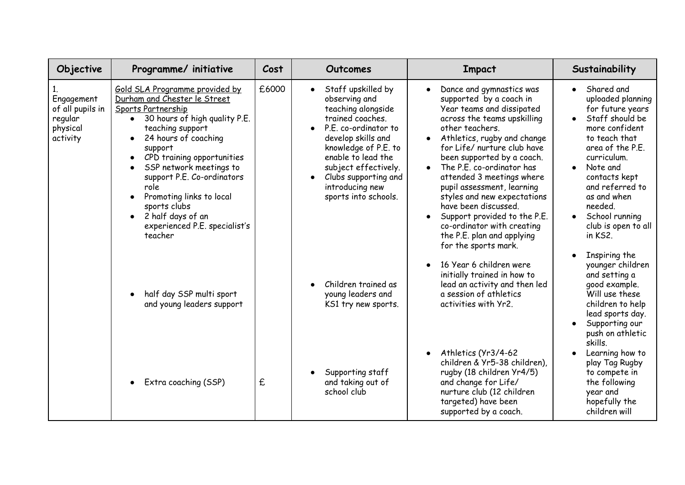| Objective                                                         | Programme/ initiative                                                                                                                                                                                                                                                                                                                                                                    | Cost  | Outcomes                                                                                                                                                                                                                                                                          | <b>Impact</b>                                                                                                                                                                                                                                                                                                                                                                                                                                                                                     | Sustainability                                                                                                                                                                                                                                                                                                    |
|-------------------------------------------------------------------|------------------------------------------------------------------------------------------------------------------------------------------------------------------------------------------------------------------------------------------------------------------------------------------------------------------------------------------------------------------------------------------|-------|-----------------------------------------------------------------------------------------------------------------------------------------------------------------------------------------------------------------------------------------------------------------------------------|---------------------------------------------------------------------------------------------------------------------------------------------------------------------------------------------------------------------------------------------------------------------------------------------------------------------------------------------------------------------------------------------------------------------------------------------------------------------------------------------------|-------------------------------------------------------------------------------------------------------------------------------------------------------------------------------------------------------------------------------------------------------------------------------------------------------------------|
| Engagement<br>of all pupils in<br>regular<br>physical<br>activity | Gold SLA Programme provided by<br>Durham and Chester le Street<br>Sports Partnership<br>30 hours of high quality P.E.<br>teaching support<br>24 hours of coaching<br>support<br>CPD training opportunities<br>SSP network meetings to<br>support P.E. Co-ordinators<br>role<br>Promoting links to local<br>sports clubs<br>2 half days of an<br>experienced P.E. specialist's<br>teacher | £6000 | Staff upskilled by<br>$\bullet$<br>observing and<br>teaching alongside<br>trained coaches.<br>P.E. co-ordinator to<br>develop skills and<br>knowledge of P.E. to<br>enable to lead the<br>subject effectively.<br>Clubs supporting and<br>introducing new<br>sports into schools. | Dance and gymnastics was<br>supported by a coach in<br>Year teams and dissipated<br>across the teams upskilling<br>other teachers.<br>Athletics, rugby and change<br>for Life/ nurture club have<br>been supported by a coach.<br>The P.E. co-ordinator has<br>attended 3 meetings where<br>pupil assessment, learning<br>styles and new expectations<br>have been discussed.<br>Support provided to the P.E.<br>co-ordinator with creating<br>the P.E. plan and applying<br>for the sports mark. | Shared and<br>$\bullet$<br>uploaded planning<br>for future years<br>Staff should be<br>$\bullet$<br>more confident<br>to teach that<br>area of the P.E.<br>curriculum.<br>Note and<br>$\bullet$<br>contacts kept<br>and referred to<br>as and when<br>needed.<br>School running<br>club is open to all<br>in KS2. |
|                                                                   | half day SSP multi sport<br>and young leaders support                                                                                                                                                                                                                                                                                                                                    |       | Children trained as<br>young leaders and<br>KS1 try new sports.                                                                                                                                                                                                                   | 16 Year 6 children were<br>initially trained in how to<br>lead an activity and then led<br>a session of athletics<br>activities with Yr2.                                                                                                                                                                                                                                                                                                                                                         | Inspiring the<br>$\bullet$<br>younger children<br>and setting a<br>good example.<br>Will use these<br>children to help<br>lead sports day.<br>Supporting our<br>$\bullet$<br>push on athletic<br>skills.                                                                                                          |
|                                                                   | Extra coaching (SSP)                                                                                                                                                                                                                                                                                                                                                                     | £     | Supporting staff<br>and taking out of<br>school club                                                                                                                                                                                                                              | Athletics (Yr3/4-62<br>children & Yr5-38 children),<br>rugby (18 children Yr4/5)<br>and change for Life/<br>nurture club (12 children<br>targeted) have been<br>supported by a coach.                                                                                                                                                                                                                                                                                                             | Learning how to<br>$\bullet$<br>play Tag Rugby<br>to compete in<br>the following<br>year and<br>hopefully the<br>children will                                                                                                                                                                                    |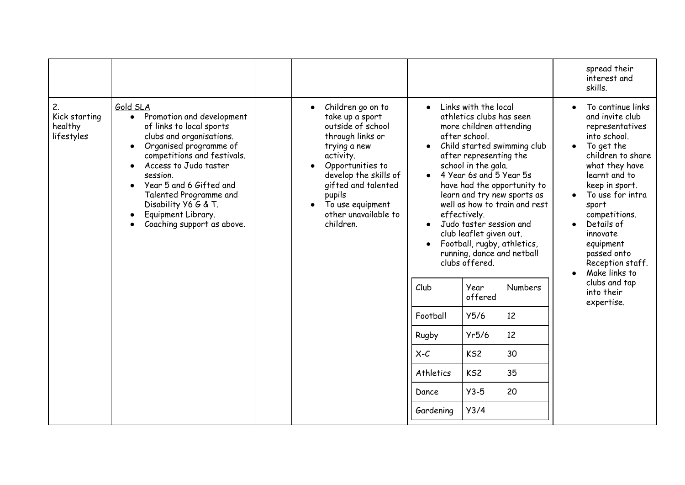|                                              |                                                                                                                                                                                                                                                                                                                                           |                                                                                                                                                                                                                                                   |                                                                       |                                                                                                                                                                                                                                                                                                                                                                                                                           |                                                                                                                                                                            | spread their<br>interest and<br>skills.                                                                                                                                                                                                                                                                                                                            |
|----------------------------------------------|-------------------------------------------------------------------------------------------------------------------------------------------------------------------------------------------------------------------------------------------------------------------------------------------------------------------------------------------|---------------------------------------------------------------------------------------------------------------------------------------------------------------------------------------------------------------------------------------------------|-----------------------------------------------------------------------|---------------------------------------------------------------------------------------------------------------------------------------------------------------------------------------------------------------------------------------------------------------------------------------------------------------------------------------------------------------------------------------------------------------------------|----------------------------------------------------------------------------------------------------------------------------------------------------------------------------|--------------------------------------------------------------------------------------------------------------------------------------------------------------------------------------------------------------------------------------------------------------------------------------------------------------------------------------------------------------------|
| 2.<br>Kick starting<br>healthy<br>lifestyles | Gold SLA<br>Promotion and development<br>$\bullet$<br>of links to local sports<br>clubs and organisations.<br>Organised programme of<br>competitions and festivals.<br>Access to Judo taster<br>session.<br>Year 5 and 6 Gifted and<br>Talented Programme and<br>Disability Y6 G & T.<br>Equipment Library.<br>Coaching support as above. | Children go on to<br>take up a sport<br>outside of school<br>through links or<br>trying a new<br>activity.<br>Opportunities to<br>develop the skills of<br>gifted and talented<br>pupils<br>To use equipment<br>other unavailable to<br>children. | Club<br>Football<br>Rugby<br>$X-C$<br>Athletics<br>Dance<br>Gardening | Links with the local<br>athletics clubs has seen<br>more children attending<br>after school.<br>after representing the<br>school in the gala.<br>4 Year 6s and 5 Year 5s<br>effectively.<br>Judo taster session and<br>club leaflet given out.<br>Football, rugby, athletics,<br>running, dance and netball<br>clubs offered.<br>Year<br>offered<br>Y5/6<br>Yr5/6<br>KS <sub>2</sub><br>KS <sub>2</sub><br>$Y3-5$<br>Y3/4 | Child started swimming club<br>have had the opportunity to<br>learn and try new sports as<br>well as how to train and rest<br><b>Numbers</b><br>12<br>12<br>30<br>35<br>20 | To continue links<br>and invite club<br>representatives<br>into school.<br>To get the<br>$\bullet$<br>children to share<br>what they have<br>learnt and to<br>keep in sport.<br>To use for intra<br>sport<br>competitions.<br>Details of<br>innovate<br>equipment<br>passed onto<br>Reception staff.<br>Make links to<br>clubs and tap<br>into their<br>expertise. |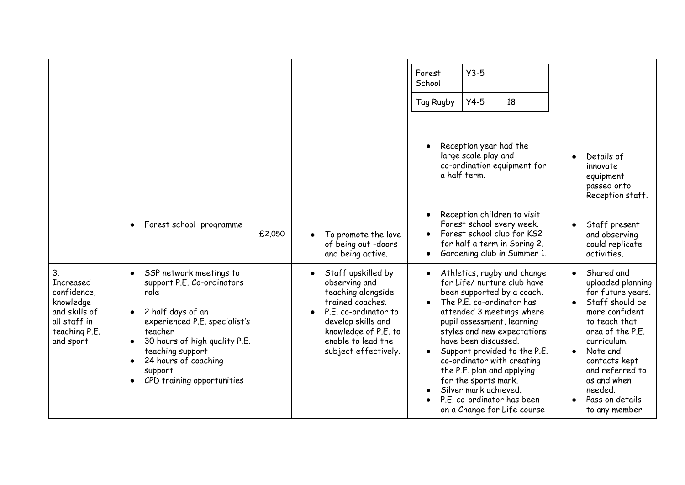|                                                                                                                        |                                                                                                                                                                                                                                                                   |        |                                                                                                                                                                                                   | Forest<br>School<br>Tag Rugby | $Y3-5$<br>18<br>$Y4-5$                                                                                                                                                                                                                                                                                                                                                                                                                            |                                                                                                                                                                                                                                                                                       |
|------------------------------------------------------------------------------------------------------------------------|-------------------------------------------------------------------------------------------------------------------------------------------------------------------------------------------------------------------------------------------------------------------|--------|---------------------------------------------------------------------------------------------------------------------------------------------------------------------------------------------------|-------------------------------|---------------------------------------------------------------------------------------------------------------------------------------------------------------------------------------------------------------------------------------------------------------------------------------------------------------------------------------------------------------------------------------------------------------------------------------------------|---------------------------------------------------------------------------------------------------------------------------------------------------------------------------------------------------------------------------------------------------------------------------------------|
|                                                                                                                        |                                                                                                                                                                                                                                                                   |        |                                                                                                                                                                                                   | $\bullet$                     | Reception year had the<br>large scale play and<br>co-ordination equipment for<br>a half term.                                                                                                                                                                                                                                                                                                                                                     | Details of<br>$\bullet$<br>innovate<br>equipment<br>passed onto<br>Reception staff.                                                                                                                                                                                                   |
|                                                                                                                        | Forest school programme                                                                                                                                                                                                                                           | £2,050 | To promote the love<br>of being out -doors<br>and being active.                                                                                                                                   | $\bullet$<br>$\bullet$        | Reception children to visit<br>Forest school every week.<br>Forest school club for KS2<br>for half a term in Spring 2.<br>Gardening club in Summer 1.                                                                                                                                                                                                                                                                                             | Staff present<br>$\bullet$<br>and observing-<br>could replicate<br>activities.                                                                                                                                                                                                        |
| 3 <sub>1</sub><br>Increased<br>confidence,<br>knowledge<br>and skills of<br>all staff in<br>teaching P.E.<br>and sport | SSP network meetings to<br>$\bullet$<br>support P.E. Co-ordinators<br>role<br>2 half days of an<br>experienced P.E. specialist's<br>teacher<br>30 hours of high quality P.E.<br>teaching support<br>24 hours of coaching<br>support<br>CPD training opportunities |        | Staff upskilled by<br>observing and<br>teaching alongside<br>trained coaches.<br>P.E. co-ordinator to<br>develop skills and<br>knowledge of P.E. to<br>enable to lead the<br>subject effectively. | $\bullet$<br>$\bullet$        | Athletics, rugby and change<br>for Life/ nurture club have<br>been supported by a coach.<br>The P.E. co-ordinator has<br>attended 3 meetings where<br>pupil assessment, learning<br>styles and new expectations<br>have been discussed.<br>Support provided to the P.E.<br>co-ordinator with creating<br>the P.E. plan and applying<br>for the sports mark.<br>Silver mark achieved.<br>P.E. co-ordinator has been<br>on a Change for Life course | Shared and<br>$\bullet$<br>uploaded planning<br>for future years.<br>Staff should be<br>more confident<br>to teach that<br>area of the P.E.<br>curriculum.<br>Note and<br>$\bullet$<br>contacts kept<br>and referred to<br>as and when<br>needed.<br>Pass on details<br>to any member |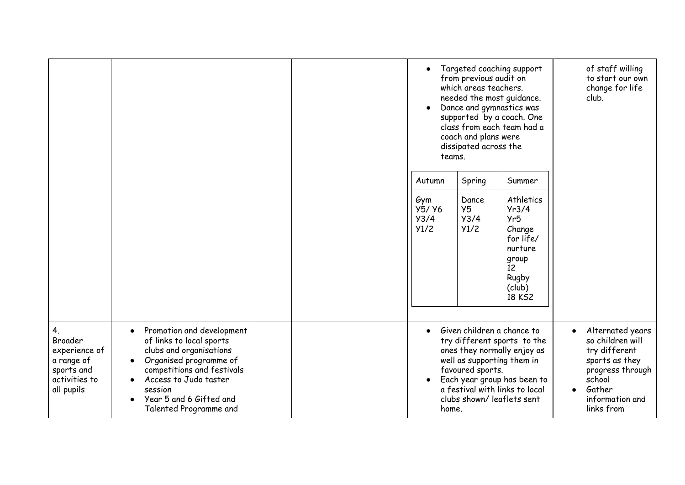|                                                                                           |                                                                                                                                                                                                                                   |  | Targeted coaching support<br>$\bullet$<br>from previous audit on<br>which areas teachers.<br>needed the most guidance.<br>Dance and gymnastics was<br>supported by a coach. One<br>class from each team had a<br>coach and plans were<br>dissipated across the<br>teams. |                             | of staff willing<br>to start our own<br>change for life<br>club.                                                     |                                                                                                                                                               |
|-------------------------------------------------------------------------------------------|-----------------------------------------------------------------------------------------------------------------------------------------------------------------------------------------------------------------------------------|--|--------------------------------------------------------------------------------------------------------------------------------------------------------------------------------------------------------------------------------------------------------------------------|-----------------------------|----------------------------------------------------------------------------------------------------------------------|---------------------------------------------------------------------------------------------------------------------------------------------------------------|
|                                                                                           |                                                                                                                                                                                                                                   |  | Autumn                                                                                                                                                                                                                                                                   | Spring                      | Summer                                                                                                               |                                                                                                                                                               |
|                                                                                           |                                                                                                                                                                                                                                   |  | Gym<br>Y5/ Y6<br>Y3/4<br>Y1/2                                                                                                                                                                                                                                            | Dance<br>Y5<br>Y3/4<br>Y1/2 | Athletics<br>Yr3/4<br>Yr5<br>Change<br>for life/<br>nurture<br>group<br>$\overline{12}$<br>Rugby<br>(club)<br>18 KS2 |                                                                                                                                                               |
| 4.<br>Broader<br>experience of<br>a range of<br>sports and<br>activities to<br>all pupils | Promotion and development<br>of links to local sports<br>clubs and organisations<br>Organised programme of<br>competitions and festivals<br>Access to Judo taster<br>session<br>Year 5 and 6 Gifted and<br>Talented Programme and |  | Given children a chance to<br>$\bullet$<br>try different sports to the<br>ones they normally enjoy as<br>well as supporting them in<br>favoured sports.<br>Each year group has been to<br>a festival with links to local<br>clubs shown/ leaflets sent<br>home.          |                             |                                                                                                                      | Alternated years<br>so children will<br>try different<br>sports as they<br>progress through<br>school<br>Gather<br>$\bullet$<br>information and<br>links from |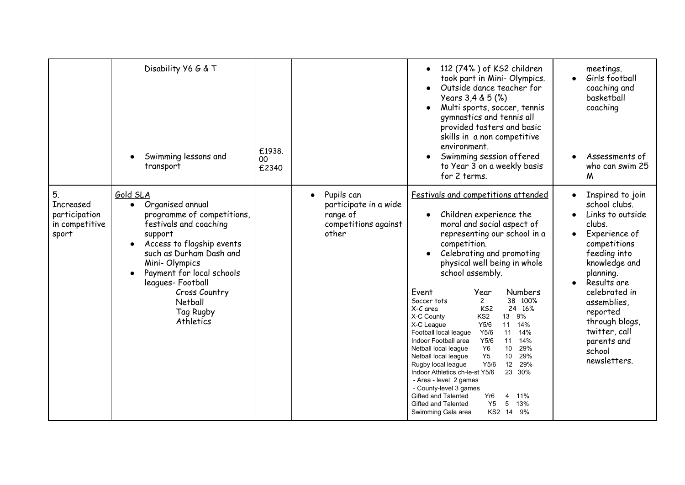|                                                                    | Disability Y6 G & T<br>Swimming lessons and<br>transport                                                                                                                                                                                                                        | £1938.<br>$00\,$<br>£2340 |                                                                                               | 112 (74%) of KS2 children<br>took part in Mini- Olympics.<br>Outside dance teacher for<br>Years 3,4 & 5 (%)<br>Multi sports, soccer, tennis<br>gymnastics and tennis all<br>provided tasters and basic<br>skills in a non competitive<br>environment.<br>Swimming session offered<br>to Year 3 on a weekly basis<br>for 2 terms.                                                                                                                                                                                                                                                                                                                                                                                                                                                                                                                                                                        | meetings.<br>Girls football<br>$\bullet$<br>coaching and<br>basketball<br>coaching<br>Assessments of<br>who can swim 25<br>M                                                                                                                                                                                   |
|--------------------------------------------------------------------|---------------------------------------------------------------------------------------------------------------------------------------------------------------------------------------------------------------------------------------------------------------------------------|---------------------------|-----------------------------------------------------------------------------------------------|---------------------------------------------------------------------------------------------------------------------------------------------------------------------------------------------------------------------------------------------------------------------------------------------------------------------------------------------------------------------------------------------------------------------------------------------------------------------------------------------------------------------------------------------------------------------------------------------------------------------------------------------------------------------------------------------------------------------------------------------------------------------------------------------------------------------------------------------------------------------------------------------------------|----------------------------------------------------------------------------------------------------------------------------------------------------------------------------------------------------------------------------------------------------------------------------------------------------------------|
| 5.<br><b>Increased</b><br>participation<br>in competitive<br>sport | Gold SLA<br>Organised annual<br>programme of competitions,<br>festivals and coaching<br>support<br>Access to flagship events<br>such as Durham Dash and<br>Mini-Olympics<br>Payment for local schools<br>leagues-Football<br>Cross Country<br>Netball<br>Tag Rugby<br>Athletics |                           | Pupils can<br>$\bullet$<br>participate in a wide<br>range of<br>competitions against<br>other | Festivals and competitions attended<br>Children experience the<br>moral and social aspect of<br>representing our school in a<br>competition.<br>Celebrating and promoting<br>physical well being in whole<br>school assembly.<br>Event<br>Year<br><b>Numbers</b><br>38 100%<br>Soccer tots<br>$\mathbf{2}$<br>KS <sub>2</sub><br>24 16%<br>X-C area<br>13 9%<br>KS <sub>2</sub><br>X-C County<br>Y5/6<br>11 14%<br>X-C League<br>14%<br>Y5/6<br>11<br>Football local league<br>Y5/6<br>14%<br>Indoor Football area<br>11<br>Y <sub>6</sub><br>29%<br>10<br>Netball local league<br>Y5<br>29%<br>10<br>Netball local league<br>12<br>29%<br>Y5/6<br>Rugby local league<br>Indoor Athletics ch-le-st Y5/6<br>23 30%<br>- Area - level 2 games<br>- County-level 3 games<br>Gifted and Talented<br>11%<br>Yr6<br>4<br>Y <sub>5</sub><br>13%<br>5<br>Gifted and Talented<br>KS2 14 9%<br>Swimming Gala area | Inspired to join<br>$\bullet$<br>school clubs.<br>Links to outside<br>clubs.<br>Experience of<br>$\bullet$<br>competitions<br>feeding into<br>knowledge and<br>planning.<br>Results are<br>celebrated in<br>assemblies<br>reported<br>through blogs,<br>twitter, call<br>parents and<br>school<br>newsletters. |